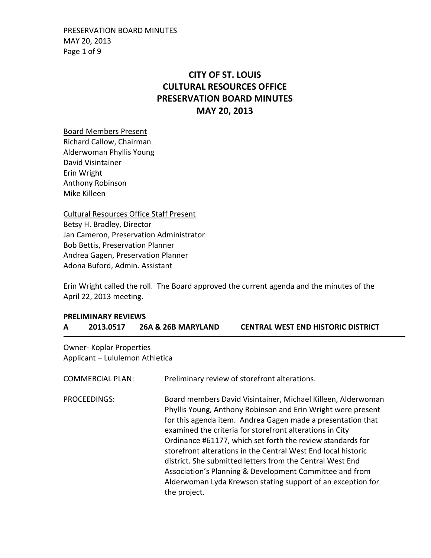PRESERVATION BOARD MINUTES MAY 20, 2013 Page 1 of 9

# **CITY OF ST. LOUIS CULTURAL RESOURCES OFFICE PRESERVATION BOARD MINUTES MAY 20, 2013**

Board Members Present Richard Callow, Chairman Alderwoman Phyllis Young David Visintainer Erin Wright Anthony Robinson Mike Killeen

Cultural Resources Office Staff Present Betsy H. Bradley, Director Jan Cameron, Preservation Administrator Bob Bettis, Preservation Planner Andrea Gagen, Preservation Planner Adona Buford, Admin. Assistant

Erin Wright called the roll. The Board approved the current agenda and the minutes of the April 22, 2013 meeting.

## **PRELIMINARY REVIEWS A 2013.0517 26A & 26B MARYLAND CENTRAL WEST END HISTORIC DISTRICT**

Owner- Koplar Properties Applicant – Lululemon Athletica

| <b>COMMERCIAL PLAN:</b> | Preliminary review of storefront alterations.                                                                                                                                                                                                                                                                                                                                                                                                                                                                                                                                                 |
|-------------------------|-----------------------------------------------------------------------------------------------------------------------------------------------------------------------------------------------------------------------------------------------------------------------------------------------------------------------------------------------------------------------------------------------------------------------------------------------------------------------------------------------------------------------------------------------------------------------------------------------|
| <b>PROCEEDINGS:</b>     | Board members David Visintainer, Michael Killeen, Alderwoman<br>Phyllis Young, Anthony Robinson and Erin Wright were present<br>for this agenda item. Andrea Gagen made a presentation that<br>examined the criteria for storefront alterations in City<br>Ordinance #61177, which set forth the review standards for<br>storefront alterations in the Central West End local historic<br>district. She submitted letters from the Central West End<br>Association's Planning & Development Committee and from<br>Alderwoman Lyda Krewson stating support of an exception for<br>the project. |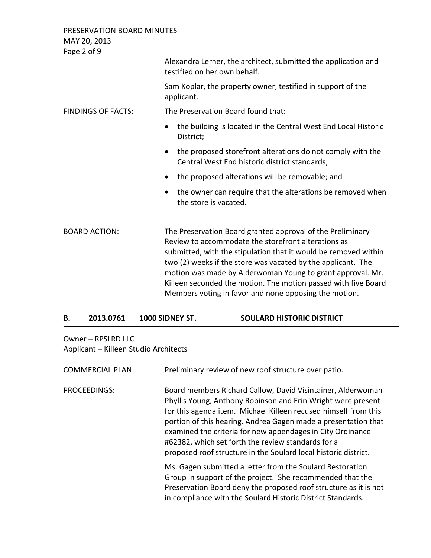| PRESERVATION BOARD MINUTES<br>MAY 20, 2013 |                                                                                                                                                                                                                                                                                                                                                                                                                                               |
|--------------------------------------------|-----------------------------------------------------------------------------------------------------------------------------------------------------------------------------------------------------------------------------------------------------------------------------------------------------------------------------------------------------------------------------------------------------------------------------------------------|
| Page 2 of 9                                |                                                                                                                                                                                                                                                                                                                                                                                                                                               |
|                                            | Alexandra Lerner, the architect, submitted the application and<br>testified on her own behalf.                                                                                                                                                                                                                                                                                                                                                |
|                                            | Sam Koplar, the property owner, testified in support of the<br>applicant.                                                                                                                                                                                                                                                                                                                                                                     |
| <b>FINDINGS OF FACTS:</b>                  | The Preservation Board found that:                                                                                                                                                                                                                                                                                                                                                                                                            |
|                                            | the building is located in the Central West End Local Historic<br>$\bullet$<br>District;                                                                                                                                                                                                                                                                                                                                                      |
|                                            | the proposed storefront alterations do not comply with the<br>Central West End historic district standards;                                                                                                                                                                                                                                                                                                                                   |
|                                            | the proposed alterations will be removable; and                                                                                                                                                                                                                                                                                                                                                                                               |
|                                            | the owner can require that the alterations be removed when<br>the store is vacated.                                                                                                                                                                                                                                                                                                                                                           |
| <b>BOARD ACTION:</b>                       | The Preservation Board granted approval of the Preliminary<br>Review to accommodate the storefront alterations as<br>submitted, with the stipulation that it would be removed within<br>two (2) weeks if the store was vacated by the applicant. The<br>motion was made by Alderwoman Young to grant approval. Mr.<br>Killeen seconded the motion. The motion passed with five Board<br>Members voting in favor and none opposing the motion. |

## **B. 2013.0761 1000 SIDNEY ST. SOULARD HISTORIC DISTRICT**

Owner – RPSLRD LLC Applicant – Killeen Studio Architects

| <b>COMMERCIAL PLAN:</b> | Preliminary review of new roof structure over patio.                                                                                                                                                                                                                                                                                                                                                                                                    |
|-------------------------|---------------------------------------------------------------------------------------------------------------------------------------------------------------------------------------------------------------------------------------------------------------------------------------------------------------------------------------------------------------------------------------------------------------------------------------------------------|
| PROCEEDINGS:            | Board members Richard Callow, David Visintainer, Alderwoman<br>Phyllis Young, Anthony Robinson and Erin Wright were present<br>for this agenda item. Michael Killeen recused himself from this<br>portion of this hearing. Andrea Gagen made a presentation that<br>examined the criteria for new appendages in City Ordinance<br>#62382, which set forth the review standards for a<br>proposed roof structure in the Soulard local historic district. |
|                         | Ms. Gagen submitted a letter from the Soulard Restoration<br>Group in support of the project. She recommended that the<br>Preservation Board deny the proposed roof structure as it is not<br>in compliance with the Soulard Historic District Standards.                                                                                                                                                                                               |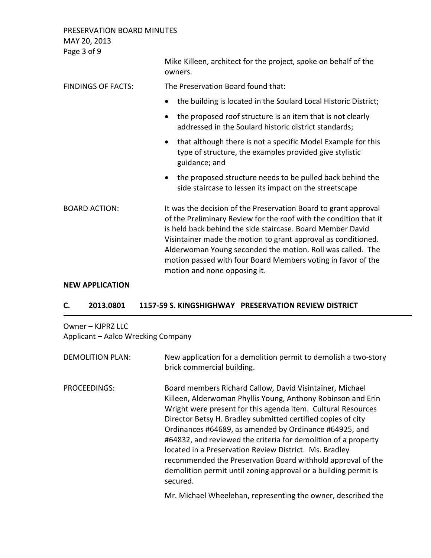PRESERVATION BOARD MINUTES MAY 20, 2013 Page 3 of 9 Mike Killeen, architect for the project, spoke on behalf of the owners. FINDINGS OF FACTS: The Preservation Board found that: • the building is located in the Soulard Local Historic District; • the proposed roof structure is an item that is not clearly addressed in the Soulard historic district standards; • that although there is not a specific Model Example for this type of structure, the examples provided give stylistic guidance; and • the proposed structure needs to be pulled back behind the side staircase to lessen its impact on the streetscape BOARD ACTION: It was the decision of the Preservation Board to grant approval of the Preliminary Review for the roof with the condition that it is held back behind the side staircase. Board Member David Visintainer made the motion to grant approval as conditioned. Alderwoman Young seconded the motion. Roll was called. The motion passed with four Board Members voting in favor of the motion and none opposing it.

### **NEW APPLICATION**

### **C. 2013.0801 1157-59 S. KINGSHIGHWAY PRESERVATION REVIEW DISTRICT**

Owner – KJPRZ LLC Applicant – Aalco Wrecking Company

| <b>DEMOLITION PLAN:</b> | New application for a demolition permit to demolish a two-story<br>brick commercial building.                                                                                                                                                                                                                                                                                                                                                                                                                                                                                                |
|-------------------------|----------------------------------------------------------------------------------------------------------------------------------------------------------------------------------------------------------------------------------------------------------------------------------------------------------------------------------------------------------------------------------------------------------------------------------------------------------------------------------------------------------------------------------------------------------------------------------------------|
| PROCEEDINGS:            | Board members Richard Callow, David Visintainer, Michael<br>Killeen, Alderwoman Phyllis Young, Anthony Robinson and Erin<br>Wright were present for this agenda item. Cultural Resources<br>Director Betsy H. Bradley submitted certified copies of city<br>Ordinances #64689, as amended by Ordinance #64925, and<br>#64832, and reviewed the criteria for demolition of a property<br>located in a Preservation Review District. Ms. Bradley<br>recommended the Preservation Board withhold approval of the<br>demolition permit until zoning approval or a building permit is<br>secured. |

Mr. Michael Wheelehan, representing the owner, described the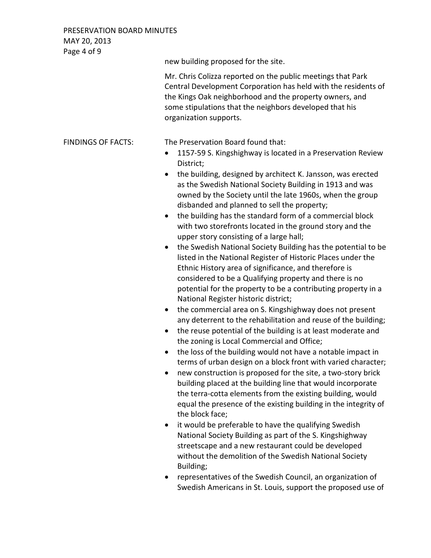PRESERVATION BOARD MINUTES MAY 20, 2013

Page 4 of 9 new building proposed for the site. Mr. Chris Colizza reported on the public meetings that Park Central Development Corporation has held with the residents of the Kings Oak neighborhood and the property owners, and some stipulations that the neighbors developed that his organization supports. FINDINGS OF FACTS: The Preservation Board found that: • 1157-59 S. Kingshighway is located in a Preservation Review District; • the building, designed by architect K. Jansson, was erected as the Swedish National Society Building in 1913 and was owned by the Society until the late 1960s, when the group disbanded and planned to sell the property; • the building has the standard form of a commercial block with two storefronts located in the ground story and the upper story consisting of a large hall; • the Swedish National Society Building has the potential to be listed in the National Register of Historic Places under the Ethnic History area of significance, and therefore is considered to be a Qualifying property and there is no potential for the property to be a contributing property in a National Register historic district; • the commercial area on S. Kingshighway does not present any deterrent to the rehabilitation and reuse of the building;

- the reuse potential of the building is at least moderate and the zoning is Local Commercial and Office;
- the loss of the building would not have a notable impact in terms of urban design on a block front with varied character;
- new construction is proposed for the site, a two-story brick building placed at the building line that would incorporate the terra-cotta elements from the existing building, would equal the presence of the existing building in the integrity of the block face;
- it would be preferable to have the qualifying Swedish National Society Building as part of the S. Kingshighway streetscape and a new restaurant could be developed without the demolition of the Swedish National Society Building;
- representatives of the Swedish Council, an organization of Swedish Americans in St. Louis, support the proposed use of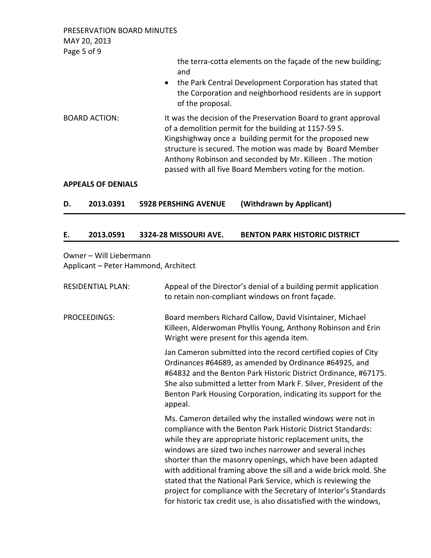PRESERVATION BOARD MINUTES MAY 20, 2013 Page 5 of 9

> the terra-cotta elements on the façade of the new building; and

- the Park Central Development Corporation has stated that the Corporation and neighborhood residents are in support of the proposal.
- BOARD ACTION: It was the decision of the Preservation Board to grant approval of a demolition permit for the building at 1157-59 S. Kingshighway once a building permit for the proposed new structure is secured. The motion was made by Board Member Anthony Robinson and seconded by Mr. Killeen . The motion passed with all five Board Members voting for the motion.

### **APPEALS OF DENIALS**

| D. | 2013.0391 | <b>5928 PERSHING AVENUE</b> | (Withdrawn by Applicant) |
|----|-----------|-----------------------------|--------------------------|
|    |           |                             |                          |

### **E. 2013.0591 3324-28 MISSOURI AVE. BENTON PARK HISTORIC DISTRICT**

## Owner – Will Liebermann Applicant – Peter Hammond, Architect

| <b>RESIDENTIAL PLAN:</b> | Appeal of the Director's denial of a building permit application<br>to retain non-compliant windows on front façade.                                                                                                                                                                                                                                                                                                                                                                                                                                                                                 |
|--------------------------|------------------------------------------------------------------------------------------------------------------------------------------------------------------------------------------------------------------------------------------------------------------------------------------------------------------------------------------------------------------------------------------------------------------------------------------------------------------------------------------------------------------------------------------------------------------------------------------------------|
| PROCEEDINGS:             | Board members Richard Callow, David Visintainer, Michael<br>Killeen, Alderwoman Phyllis Young, Anthony Robinson and Erin<br>Wright were present for this agenda item.                                                                                                                                                                                                                                                                                                                                                                                                                                |
|                          | Jan Cameron submitted into the record certified copies of City<br>Ordinances #64689, as amended by Ordinance #64925, and<br>#64832 and the Benton Park Historic District Ordinance, #67175.<br>She also submitted a letter from Mark F. Silver, President of the<br>Benton Park Housing Corporation, indicating its support for the<br>appeal.                                                                                                                                                                                                                                                       |
|                          | Ms. Cameron detailed why the installed windows were not in<br>compliance with the Benton Park Historic District Standards:<br>while they are appropriate historic replacement units, the<br>windows are sized two inches narrower and several inches<br>shorter than the masonry openings, which have been adapted<br>with additional framing above the sill and a wide brick mold. She<br>stated that the National Park Service, which is reviewing the<br>project for compliance with the Secretary of Interior's Standards<br>for historic tax credit use, is also dissatisfied with the windows, |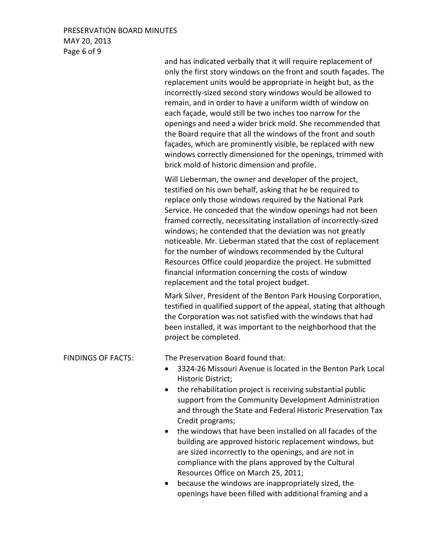## PRESERVATION BOARD MINUTES MAY 20, 2013 Page 6 of 9

and has indicated verbally that it will require replacement of only the first story windows on the front and south façades. The replacement units would be appropriate in height but, as the incorrectly-sized second story windows would be allowed to remain, and in order to have a uniform width of window on each façade, would still be two inches too narrow for the openings and need a wider brick mold. She recommended that the Board require that all the windows of the front and south façades, which are prominently visible, be replaced with new windows correctly dimensioned for the openings, trimmed with brick mold of historic dimension and profile.

Will Lieberman, the owner and developer of the project, testified on his own behalf, asking that he be required to replace only those windows required by the National Park Service. He conceded that the window openings had not been framed correctly, necessitating installation of incorrectly-sized windows; he contended that the deviation was not greatly noticeable. Mr. Lieberman stated that the cost of replacement for the number of windows recommended by the Cultural Resources Office could jeopardize the project. He submitted financial information concerning the costs of window replacement and the total project budget.

Mark Silver, President of the Benton Park Housing Corporation, testified in qualified support of the appeal, stating that although the Corporation was not satisfied with the windows that had been installed, it was important to the neighborhood that the project be completed.

## FINDINGS OF FACTS: The Preservation Board found that:

- 3324-26 Missouri Avenue is located in the Benton Park Local Historic District;
- the rehabilitation project is receiving substantial public support from the Community Development Administration and through the State and Federal Historic Preservation Tax Credit programs;
- the windows that have been installed on all facades of the building are approved historic replacement windows, but are sized incorrectly to the openings, and are not in compliance with the plans approved by the Cultural Resources Office on March 25, 2011;
- because the windows are inappropriately sized, the openings have been filled with additional framing and a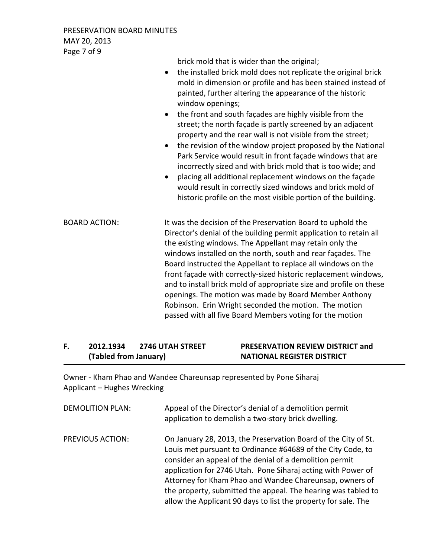PRESERVATION BOARD MINUTES MAY 20, 2013 Page 7 of 9

> brick mold that is wider than the original; • the installed brick mold does not replicate the original brick mold in dimension or profile and has been stained instead of

- painted, further altering the appearance of the historic window openings; • the front and south façades are highly visible from the
- street; the north façade is partly screened by an adjacent property and the rear wall is not visible from the street;
- the revision of the window project proposed by the National Park Service would result in front façade windows that are incorrectly sized and with brick mold that is too wide; and
- placing all additional replacement windows on the façade would result in correctly sized windows and brick mold of historic profile on the most visible portion of the building.

BOARD ACTION: It was the decision of the Preservation Board to uphold the Director's denial of the building permit application to retain all the existing windows. The Appellant may retain only the windows installed on the north, south and rear façades. The Board instructed the Appellant to replace all windows on the front façade with correctly-sized historic replacement windows, and to install brick mold of appropriate size and profile on these openings. The motion was made by Board Member Anthony Robinson. Erin Wright seconded the motion. The motion passed with all five Board Members voting for the motion

# **F. 2012.1934 2746 UTAH STREET PRESERVATION REVIEW DISTRICT and (Tabled from January) NATIONAL REGISTER DISTRICT**

Owner - Kham Phao and Wandee Chareunsap represented by Pone Siharaj Applicant – Hughes Wrecking

| <b>DEMOLITION PLAN:</b> | Appeal of the Director's denial of a demolition permit<br>application to demolish a two-story brick dwelling.                                                                                                                                                                                                                                                                                                                                          |
|-------------------------|--------------------------------------------------------------------------------------------------------------------------------------------------------------------------------------------------------------------------------------------------------------------------------------------------------------------------------------------------------------------------------------------------------------------------------------------------------|
| <b>PREVIOUS ACTION:</b> | On January 28, 2013, the Preservation Board of the City of St.<br>Louis met pursuant to Ordinance #64689 of the City Code, to<br>consider an appeal of the denial of a demolition permit<br>application for 2746 Utah. Pone Siharaj acting with Power of<br>Attorney for Kham Phao and Wandee Chareunsap, owners of<br>the property, submitted the appeal. The hearing was tabled to<br>allow the Applicant 90 days to list the property for sale. The |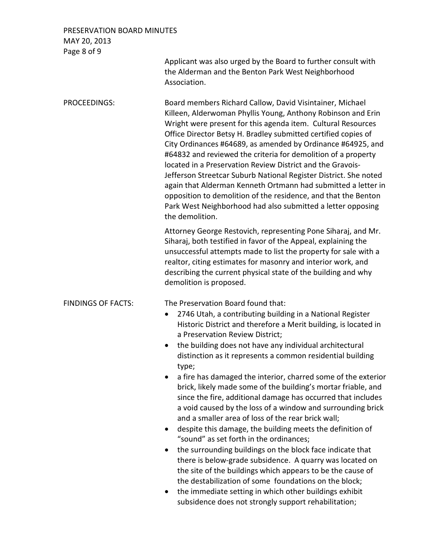## PRESERVATION BOARD MINUTES MAY 20, 2013 Page 8 of 9

Applicant was also urged by the Board to further consult with the Alderman and the Benton Park West Neighborhood Association.

PROCEEDINGS: Board members Richard Callow, David Visintainer, Michael Killeen, Alderwoman Phyllis Young, Anthony Robinson and Erin Wright were present for this agenda item. Cultural Resources Office Director Betsy H. Bradley submitted certified copies of City Ordinances #64689, as amended by Ordinance #64925, and #64832 and reviewed the criteria for demolition of a property located in a Preservation Review District and the Gravois-Jefferson Streetcar Suburb National Register District. She noted again that Alderman Kenneth Ortmann had submitted a letter in opposition to demolition of the residence, and that the Benton Park West Neighborhood had also submitted a letter opposing the demolition.

> Attorney George Restovich, representing Pone Siharaj, and Mr. Siharaj, both testified in favor of the Appeal, explaining the unsuccessful attempts made to list the property for sale with a realtor, citing estimates for masonry and interior work, and describing the current physical state of the building and why demolition is proposed.

FINDINGS OF FACTS: The Preservation Board found that:

- 2746 Utah, a contributing building in a National Register Historic District and therefore a Merit building, is located in a Preservation Review District;
- the building does not have any individual architectural distinction as it represents a common residential building type;
- a fire has damaged the interior, charred some of the exterior brick, likely made some of the building's mortar friable, and since the fire, additional damage has occurred that includes a void caused by the loss of a window and surrounding brick and a smaller area of loss of the rear brick wall;
- despite this damage, the building meets the definition of "sound" as set forth in the ordinances;
- the surrounding buildings on the block face indicate that there is below-grade subsidence. A quarry was located on the site of the buildings which appears to be the cause of the destabilization of some foundations on the block;
- the immediate setting in which other buildings exhibit subsidence does not strongly support rehabilitation;